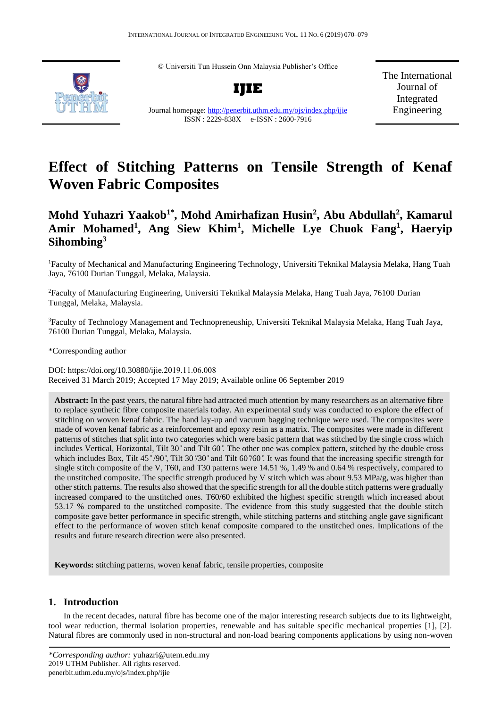© Universiti Tun Hussein Onn Malaysia Publisher's Office

**IJIE**



Journal homepage:<http://penerbit.uthm.edu.my/ojs/index.php/ijie> ISSN : 2229-838X e-ISSN : 2600-7916

The International Journal of Integrated Engineering

# **Effect of Stitching Patterns on Tensile Strength of Kenaf Woven Fabric Composites**

# **Mohd Yuhazri Yaakob1\* , Mohd Amirhafizan Husin<sup>2</sup> , Abu Abdullah<sup>2</sup> , Kamarul Amir Mohamed<sup>1</sup> , Ang Siew Khim<sup>1</sup> , Michelle Lye Chuok Fang<sup>1</sup> , Haeryip Sihombing<sup>3</sup>**

<sup>1</sup>Faculty of Mechanical and Manufacturing Engineering Technology, Universiti Teknikal Malaysia Melaka, Hang Tuah Jaya, 76100 Durian Tunggal, Melaka, Malaysia.

<sup>2</sup>Faculty of Manufacturing Engineering, Universiti Teknikal Malaysia Melaka, Hang Tuah Jaya, 76100 Durian Tunggal, Melaka, Malaysia.

<sup>3</sup>Faculty of Technology Management and Technopreneuship, Universiti Teknikal Malaysia Melaka, Hang Tuah Jaya, 76100 Durian Tunggal, Melaka, Malaysia.

\*Corresponding author

DOI: https://doi.org/10.30880/ijie.2019.11.06.008 Received 31 March 2019; Accepted 17 May 2019; Available online 06 September 2019

**Abstract:** In the past years, the natural fibre had attracted much attention by many researchers as an alternative fibre to replace synthetic fibre composite materials today. An experimental study was conducted to explore the effect of stitching on woven kenaf fabric. The hand lay-up and vacuum bagging technique were used. The composites were made of woven kenaf fabric as a reinforcement and epoxy resin as a matrix. The composites were made in different patterns of stitches that split into two categories which were basic pattern that was stitched by the single cross which includes Vertical, Horizontal, Tilt 30° and Tilt 60°. The other one was complex pattern, stitched by the double cross which includes Box, Tilt  $45^{\circ}/90^{\circ}$ , Tilt  $30^{\circ}/30^{\circ}$  and Tilt 60 $\degree$ 60 $^{\circ}$ . It was found that the increasing specific strength for single stitch composite of the V, T60, and T30 patterns were 14.51 %, 1.49 % and 0.64 % respectively, compared to the unstitched composite. The specific strength produced by V stitch which was about 9.53 MPa/g, was higher than other stitch patterns. The results also showed that the specific strength for all the double stitch patterns were gradually increased compared to the unstitched ones. T60/60 exhibited the highest specific strength which increased about 53.17 % compared to the unstitched composite. The evidence from this study suggested that the double stitch composite gave better performance in specific strength, while stitching patterns and stitching angle gave significant effect to the performance of woven stitch kenaf composite compared to the unstitched ones. Implications of the results and future research direction were also presented.

**Keywords:** stitching patterns, woven kenaf fabric, tensile properties, composite

#### **1. Introduction**

In the recent decades, natural fibre has become one of the major interesting research subjects due to its lightweight, tool wear reduction, thermal isolation properties, renewable and has suitable specific mechanical properties [1], [2]. Natural fibres are commonly used in non-structural and non-load bearing components applications by using non-woven

*<sup>\*</sup>Corresponding author:* yuhazri@utem.edu.my 2019 UTHM Publisher. All rights reserved. penerbit.uthm.edu.my/ojs/index.php/ijie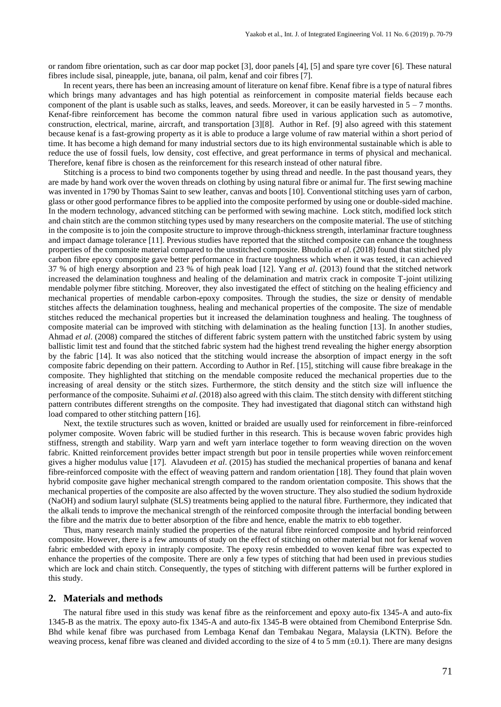or random fibre orientation, such as car door map pocket [3], door panels [4], [5] and spare tyre cover [6]. These natural fibres include sisal, pineapple, jute, banana, oil palm, kenaf and coir fibres [7].

In recent years, there has been an increasing amount of literature on kenaf fibre. Kenaf fibre is a type of natural fibres which brings many advantages and has high potential as reinforcement in composite material fields because each component of the plant is usable such as stalks, leaves, and seeds. Moreover, it can be easily harvested in  $5 - 7$  months. Kenaf-fibre reinforcement has become the common natural fibre used in various application such as automotive, construction, electrical, marine, aircraft, and transportation [3][8]. Author in Ref. [9] also agreed with this statement because kenaf is a fast-growing property as it is able to produce a large volume of raw material within a short period of time. It has become a high demand for many industrial sectors due to its high environmental sustainable which is able to reduce the use of fossil fuels, low density, cost effective, and great performance in terms of physical and mechanical. Therefore, kenaf fibre is chosen as the reinforcement for this research instead of other natural fibre.

Stitching is a process to bind two components together by using thread and needle. In the past thousand years, they are made by hand work over the woven threads on clothing by using natural fibre or animal fur. The first sewing machine was invented in 1790 by Thomas Saint to sew leather, canvas and boots [10]. Conventional stitching uses yarn of carbon, glass or other good performance fibres to be applied into the composite performed by using one or double-sided machine. In the modern technology, advanced stitching can be performed with sewing machine. Lock stitch, modified lock stitch and chain stitch are the common stitching types used by many researchers on the composite material. The use of stitching in the composite is to join the composite structure to improve through-thickness strength, interlaminar fracture toughness and impact damage tolerance [11]. Previous studies have reported that the stitched composite can enhance the toughness properties of the composite material compared to the unstitched composite. Bhudolia *et al*. (2018) found that stitched ply carbon fibre epoxy composite gave better performance in fracture toughness which when it was tested, it can achieved 37 % of high energy absorption and 23 % of high peak load [12]. Yang *et al*. (2013) found that the stitched network increased the delamination toughness and healing of the delamination and matrix crack in composite T-joint utilizing mendable polymer fibre stitching. Moreover, they also investigated the effect of stitching on the healing efficiency and mechanical properties of mendable carbon-epoxy composites. Through the studies, the size or density of mendable stitches affects the delamination toughness, healing and mechanical properties of the composite. The size of mendable stitches reduced the mechanical properties but it increased the delamination toughness and healing. The toughness of composite material can be improved with stitching with delamination as the healing function [13]. In another studies, Ahmad *et al*. (2008) compared the stitches of different fabric system pattern with the unstitched fabric system by using ballistic limit test and found that the stitched fabric system had the highest trend revealing the higher energy absorption by the fabric [14]. It was also noticed that the stitching would increase the absorption of impact energy in the soft composite fabric depending on their pattern. According to Author in Ref. [15], stitching will cause fibre breakage in the composite. They highlighted that stitching on the mendable composite reduced the mechanical properties due to the increasing of areal density or the stitch sizes. Furthermore, the stitch density and the stitch size will influence the performance of the composite. Suhaimi *et al*. (2018) also agreed with this claim. The stitch density with different stitching pattern contributes different strengths on the composite. They had investigated that diagonal stitch can withstand high load compared to other stitching pattern [16].

Next, the textile structures such as woven, knitted or braided are usually used for reinforcement in fibre-reinforced polymer composite. Woven fabric will be studied further in this research. This is because woven fabric provides high stiffness, strength and stability. Warp yarn and weft yarn interlace together to form weaving direction on the woven fabric. Knitted reinforcement provides better impact strength but poor in tensile properties while woven reinforcement gives a higher modulus value [17]. Alavudeen *et al*. (2015) has studied the mechanical properties of banana and kenaf fibre-reinforced composite with the effect of weaving pattern and random orientation [18]. They found that plain woven hybrid composite gave higher mechanical strength compared to the random orientation composite. This shows that the mechanical properties of the composite are also affected by the woven structure. They also studied the sodium hydroxide (NaOH) and sodium lauryl sulphate (SLS) treatments being applied to the natural fibre. Furthermore, they indicated that the alkali tends to improve the mechanical strength of the reinforced composite through the interfacial bonding between the fibre and the matrix due to better absorption of the fibre and hence, enable the matrix to ebb together.

Thus, many research mainly studied the properties of the natural fibre reinforced composite and hybrid reinforced composite. However, there is a few amounts of study on the effect of stitching on other material but not for kenaf woven fabric embedded with epoxy in intraply composite. The epoxy resin embedded to woven kenaf fibre was expected to enhance the properties of the composite. There are only a few types of stitching that had been used in previous studies which are lock and chain stitch. Consequently, the types of stitching with different patterns will be further explored in this study.

#### **2. Materials and methods**

The natural fibre used in this study was kenaf fibre as the reinforcement and epoxy auto-fix 1345-A and auto-fix 1345-B as the matrix. The epoxy auto-fix 1345-A and auto-fix 1345-B were obtained from Chemibond Enterprise Sdn. Bhd while kenaf fibre was purchased from Lembaga Kenaf dan Tembakau Negara, Malaysia (LKTN). Before the weaving process, kenaf fibre was cleaned and divided according to the size of 4 to 5 mm  $(\pm 0.1)$ . There are many designs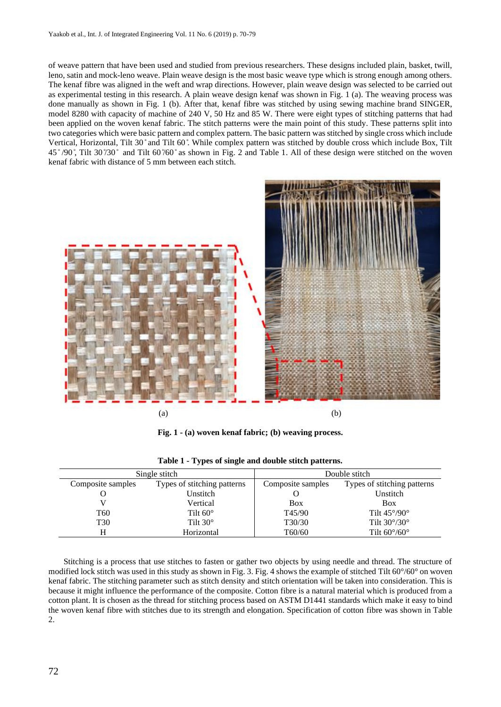of weave pattern that have been used and studied from previous researchers. These designs included plain, basket, twill, leno, satin and mock-leno weave. Plain weave design is the most basic weave type which is strong enough among others. The kenaf fibre was aligned in the weft and wrap directions. However, plain weave design was selected to be carried out as experimental testing in this research. A plain weave design kenaf was shown in Fig. 1 (a). The weaving process was done manually as shown in Fig. 1 (b). After that, kenaf fibre was stitched by using sewing machine brand SINGER, model 8280 with capacity of machine of 240 V, 50 Hz and 85 W. There were eight types of stitching patterns that had been applied on the woven kenaf fabric. The stitch patterns were the main point of this study. These patterns split into two categories which were basic pattern and complex pattern. The basic pattern was stitched by single cross which include Vertical, Horizontal, Tilt 30 ̊and Tilt 60 ̊. While complex pattern was stitched by double cross which include Box, Tilt 45 ̊ /90 ̊, Tilt 30 ̊/30 ̊ and Tilt 60 ̊/60 ̊ as shown in Fig. 2 and Table 1. All of these design were stitched on the woven kenaf fabric with distance of 5 mm between each stitch.



**Fig. 1 - (a) woven kenaf fabric; (b) weaving process.**

|                   | Single stitch               | Double stitch |                              |  |
|-------------------|-----------------------------|---------------|------------------------------|--|
| Composite samples | Types of stitching patterns |               | Types of stitching patterns  |  |
|                   | Unstitch                    |               | Unstitch                     |  |
|                   | Vertical                    | Box           | <b>Box</b>                   |  |
| <b>T60</b>        | Tilt $60^\circ$             | T45/90        | Tilt $45^{\circ}/90^{\circ}$ |  |
| T <sub>30</sub>   | Tilt $30^\circ$             | T30/30        | Tilt $30^{\circ}/30^{\circ}$ |  |
| H                 | Horizontal                  | T60/60        | Tilt $60^{\circ}/60^{\circ}$ |  |

**Table 1 - Types of single and double stitch patterns.**

Stitching is a process that use stitches to fasten or gather two objects by using needle and thread. The structure of modified lock stitch was used in this study as shown in Fig. 3. Fig. 4 shows the example of stitched Tilt 60°/60° on woven kenaf fabric. The stitching parameter such as stitch density and stitch orientation will be taken into consideration. This is because it might influence the performance of the composite. Cotton fibre is a natural material which is produced from a cotton plant. It is chosen as the thread for stitching process based on ASTM D1441 standards which make it easy to bind the woven kenaf fibre with stitches due to its strength and elongation. Specification of cotton fibre was shown in Table 2.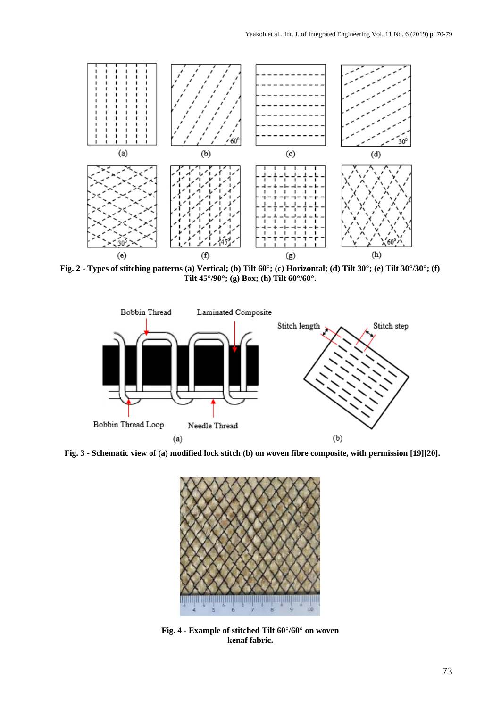

**Fig. 2 - Types of stitching patterns (a) Vertical; (b) Tilt 60°; (c) Horizontal; (d) Tilt 30°; (e) Tilt 30°/30°; (f) Tilt 45°/90°; (g) Box; (h) Tilt 60°/60°.**



**Fig. 3 - Schematic view of (a) modified lock stitch (b) on woven fibre composite, with permission [19][20].**



**Fig. 4 - Example of stitched Tilt 60°/60° on woven kenaf fabric.**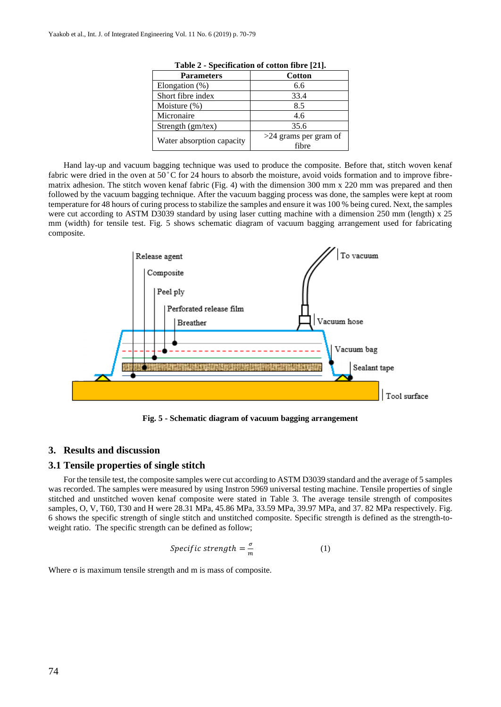| <b>Parameters</b>         | <b>Cotton</b>           |  |  |
|---------------------------|-------------------------|--|--|
| Elongation $(\%)$         | 6.6                     |  |  |
| Short fibre index         | 33.4                    |  |  |
| Moisture $(\%)$           | 8.5                     |  |  |
| Micronaire                | 4.6                     |  |  |
| Strength (gm/tex)         | 35.6                    |  |  |
| Water absorption capacity | $>24$ grams per gram of |  |  |
|                           | fihre                   |  |  |

|  | Table 2 - Specification of cotton fibre [21]. |  |  |  |  |
|--|-----------------------------------------------|--|--|--|--|
|--|-----------------------------------------------|--|--|--|--|

Hand lay-up and vacuum bagging technique was used to produce the composite. Before that, stitch woven kenaf fabric were dried in the oven at 50 $^{\circ}$ C for 24 hours to absorb the moisture, avoid voids formation and to improve fibrematrix adhesion. The stitch woven kenaf fabric (Fig. 4) with the dimension 300 mm x 220 mm was prepared and then followed by the vacuum bagging technique. After the vacuum bagging process was done, the samples were kept at room temperature for 48 hours of curing process to stabilize the samples and ensure it was 100 % being cured. Next, the samples were cut according to ASTM D3039 standard by using laser cutting machine with a dimension 250 mm (length) x 25 mm (width) for tensile test. Fig. 5 shows schematic diagram of vacuum bagging arrangement used for fabricating composite.



**Fig. 5 - Schematic diagram of vacuum bagging arrangement** 

#### **3. Results and discussion**

#### **3.1 Tensile properties of single stitch**

For the tensile test, the composite samples were cut according to ASTM D3039 standard and the average of 5 samples was recorded. The samples were measured by using Instron 5969 universal testing machine. Tensile properties of single stitched and unstitched woven kenaf composite were stated in Table 3. The average tensile strength of composites samples, O, V, T60, T30 and H were 28.31 MPa, 45.86 MPa, 33.59 MPa, 39.97 MPa, and 37. 82 MPa respectively. Fig. 6 shows the specific strength of single stitch and unstitched composite. Specific strength is defined as the strength-toweight ratio. The specific strength can be defined as follow;

$$
Specific\ strength = \frac{\sigma}{m} \tag{1}
$$

Where  $\sigma$  is maximum tensile strength and m is mass of composite.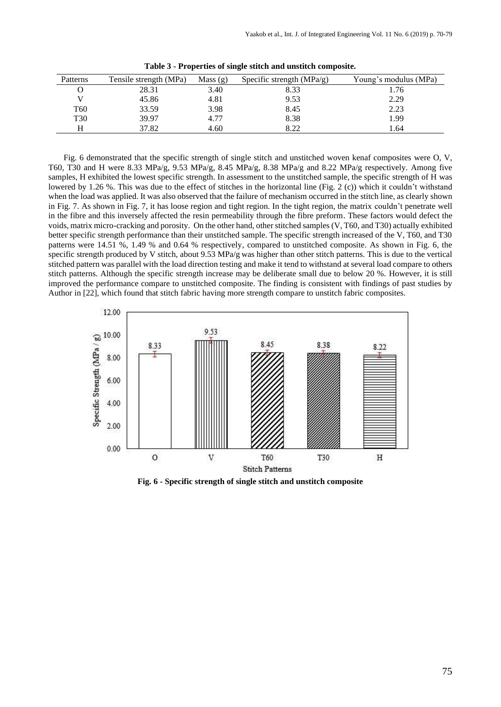| Patterns        | Tensile strength (MPa) | Mass $(g)$ | Specific strength $(MPa/g)$ | Young's modulus (MPa) |
|-----------------|------------------------|------------|-----------------------------|-----------------------|
|                 | 28.31                  | 3.40       | 8.33                        | .76                   |
|                 | 45.86                  | 4.81       | 9.53                        | 2.29                  |
| T <sub>60</sub> | 33.59                  | 3.98       | 8.45                        | 2.23                  |
| T <sub>30</sub> | 39.97                  | 4.77       | 8.38                        | . 99                  |
| H               | 37.82                  | 4.60       | 8.22                        | .64                   |

**Table 3 - Properties of single stitch and unstitch composite.**

Fig. 6 demonstrated that the specific strength of single stitch and unstitched woven kenaf composites were O, V, T60, T30 and H were 8.33 MPa/g, 9.53 MPa/g, 8.45 MPa/g, 8.38 MPa/g and 8.22 MPa/g respectively. Among five samples, H exhibited the lowest specific strength. In assessment to the unstitched sample, the specific strength of H was lowered by 1.26 %. This was due to the effect of stitches in the horizontal line (Fig. 2 (c)) which it couldn't withstand when the load was applied. It was also observed that the failure of mechanism occurred in the stitch line, as clearly shown in Fig. 7. As shown in Fig. 7, it has loose region and tight region. In the tight region, the matrix couldn't penetrate well in the fibre and this inversely affected the resin permeability through the fibre preform. These factors would defect the voids, matrix micro-cracking and porosity. On the other hand, other stitched samples (V, T60, and T30) actually exhibited better specific strength performance than their unstitched sample. The specific strength increased of the V, T60, and T30 patterns were 14.51 %, 1.49 % and 0.64 % respectively, compared to unstitched composite. As shown in Fig. 6, the specific strength produced by V stitch, about  $9.53 \text{ MPa/g}$  was higher than other stitch patterns. This is due to the vertical stitched pattern was parallel with the load direction testing and make it tend to withstand at several load compare to others stitch patterns. Although the specific strength increase may be deliberate small due to below 20 %. However, it is still improved the performance compare to unstitched composite. The finding is consistent with findings of past studies by Author in [22], which found that stitch fabric having more strength compare to unstitch fabric composites.



**Fig. 6 - Specific strength of single stitch and unstitch composite**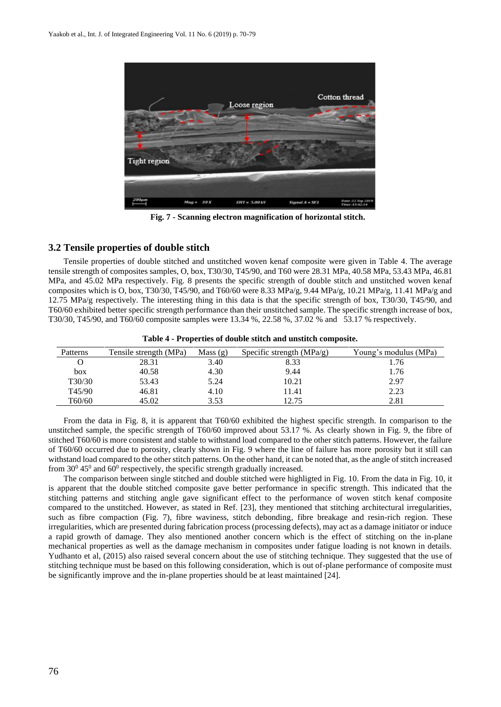

**Fig. 7 - Scanning electron magnification of horizontal stitch.**

## **3.2 Tensile properties of double stitch**

Tensile properties of double stitched and unstitched woven kenaf composite were given in Table 4. The average tensile strength of composites samples, O, box, T30/30, T45/90, and T60 were 28.31 MPa, 40.58 MPa, 53.43 MPa, 46.81 MPa, and 45.02 MPa respectively. Fig. 8 presents the specific strength of double stitch and unstitched woven kenaf composites which is O, box, T30/30, T45/90, and T60/60 were 8.33 MPa/g, 9.44 MPa/g, 10.21 MPa/g, 11.41 MPa/g and 12.75 MPa/g respectively. The interesting thing in this data is that the specific strength of box, T30/30, T45/90, and T60/60 exhibited better specific strength performance than their unstitched sample. The specific strength increase of box, T30/30, T45/90, and T60/60 composite samples were 13.34 %, 22.58 %, 37.02 % and 53.17 % respectively.

| Patterns | Tensile strength (MPa) | Mass $(g)$ | Specific strength $(MPa/g)$ | Young's modulus (MPa) |
|----------|------------------------|------------|-----------------------------|-----------------------|
|          | 28.31                  | 3.40       | 8.33                        | . . 76                |
| box      | 40.58                  | 4.30       | 9.44                        | 1.76                  |
| T30/30   | 53.43                  | 5.24       | 10.21                       | 2.97                  |
| T45/90   | 46.81                  | 4.10       | 11.41                       | 2.23                  |
| T60/60   | 45.02                  | 3.53       | 12.75                       | 2.81                  |

|  | Table 4 - Properties of double stitch and unstitch composite. |  |  |  |  |
|--|---------------------------------------------------------------|--|--|--|--|
|--|---------------------------------------------------------------|--|--|--|--|

From the data in Fig. 8, it is apparent that T60/60 exhibited the highest specific strength. In comparison to the unstitched sample, the specific strength of T60/60 improved about 53.17 %. As clearly shown in Fig. 9, the fibre of stitched T60/60 is more consistent and stable to withstand load compared to the other stitch patterns. However, the failure of T60/60 occurred due to porosity, clearly shown in Fig. 9 where the line of failure has more porosity but it still can withstand load compared to the other stitch patterns. On the other hand, it can be noted that, as the angle of stitch increased from  $30^0$  45<sup>0</sup> and 60<sup>0</sup> respectively, the specific strength gradually increased.

The comparison between single stitched and double stitched were highligted in Fig. 10. From the data in Fig. 10, it is apparent that the double stitched composite gave better performance in specific strength. This indicated that the stitching patterns and stitching angle gave significant effect to the performance of woven stitch kenaf composite compared to the unstitched. However, as stated in Ref. [23], they mentioned that stitching architectural irregularities, such as fibre compaction (Fig. 7), fibre waviness, stitch debonding, fibre breakage and resin-rich region. These irregularities, which are presented during fabrication process (processing defects), may act as a damage initiator or induce a rapid growth of damage. They also mentioned another concern which is the effect of stitching on the in-plane mechanical properties as well as the damage mechanism in composites under fatigue loading is not known in details. Yudhanto et al, (2015) also raised several concern about the use of stitching technique. They suggested that the use of stitching technique must be based on this following consideration, which is out of-plane performance of composite must be significantly improve and the in-plane properties should be at least maintained [24].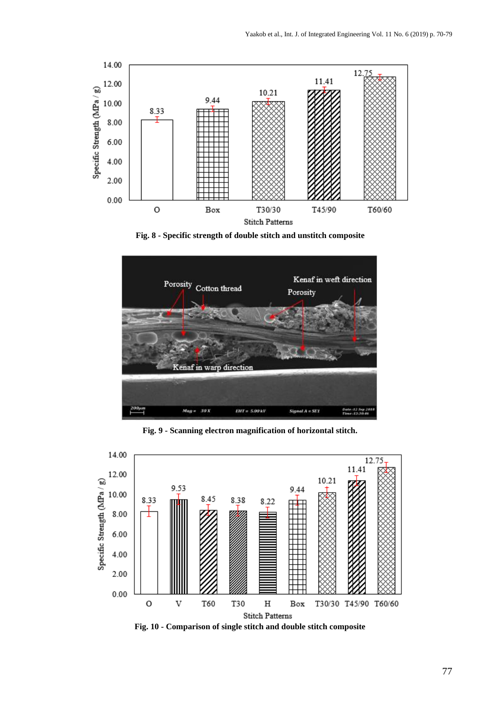

**Fig. 8 - Specific strength of double stitch and unstitch composite**



**Fig. 9 - Scanning electron magnification of horizontal stitch.**



**Fig. 10 - Comparison of single stitch and double stitch composite**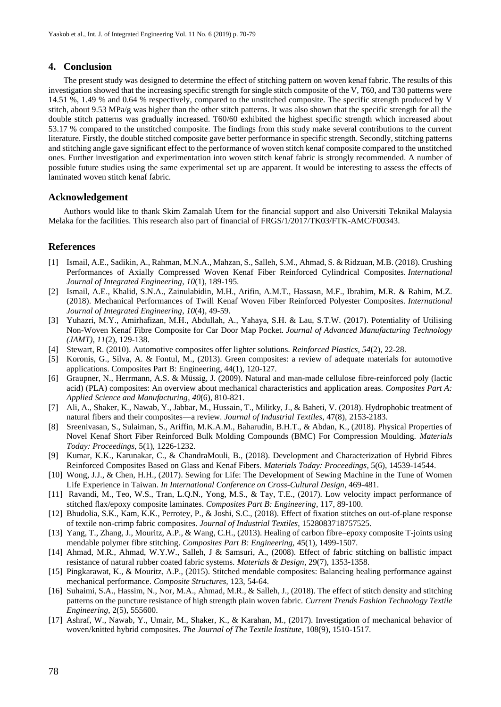## **4. Conclusion**

The present study was designed to determine the effect of stitching pattern on woven kenaf fabric. The results of this investigation showed that the increasing specific strength for single stitch composite of the V, T60, and T30 patterns were 14.51 %, 1.49 % and 0.64 % respectively, compared to the unstitched composite. The specific strength produced by V stitch, about 9.53 MPa/g was higher than the other stitch patterns. It was also shown that the specific strength for all the double stitch patterns was gradually increased. T60/60 exhibited the highest specific strength which increased about 53.17 % compared to the unstitched composite. The findings from this study make several contributions to the current literature. Firstly, the double stitched composite gave better performance in specific strength. Secondly, stitching patterns and stitching angle gave significant effect to the performance of woven stitch kenaf composite compared to the unstitched ones. Further investigation and experimentation into woven stitch kenaf fabric is strongly recommended. A number of possible future studies using the same experimental set up are apparent. It would be interesting to assess the effects of laminated woven stitch kenaf fabric.

#### **Acknowledgement**

Authors would like to thank Skim Zamalah Utem for the financial support and also Universiti Teknikal Malaysia Melaka for the facilities. This research also part of financial of FRGS/1/2017/TK03/FTK-AMC/F00343.

#### **References**

- [1] Ismail, A.E., Sadikin, A., Rahman, M.N.A., Mahzan, S., Salleh, S.M., Ahmad, S. & Ridzuan, M.B. (2018). Crushing Performances of Axially Compressed Woven Kenaf Fiber Reinforced Cylindrical Composites. *International Journal of Integrated Engineering*, *10*(1), 189-195.
- [2] Ismail, A.E., Khalid, S.N.A., Zainulabidin, M.H., Arifin, A.M.T., Hassasn, M.F., Ibrahim, M.R. & Rahim, M.Z. (2018). Mechanical Performances of Twill Kenaf Woven Fiber Reinforced Polyester Composites. *International Journal of Integrated Engineering*, *10*(4), 49-59.
- [3] Yuhazri, M.Y., Amirhafizan, M.H., Abdullah, A., Yahaya, S.H. & Lau, S.T.W. (2017). Potentiality of Utilising Non-Woven Kenaf Fibre Composite for Car Door Map Pocket. *Journal of Advanced Manufacturing Technology (JAMT)*, *11*(2), 129-138.
- [4] Stewart, R. (2010). Automotive composites offer lighter solutions. *Reinforced Plastics*, *54*(2), 22-28.
- [5] Koronis, G., Silva, A. & Fontul, M., (2013). Green composites: a review of adequate materials for automotive applications. Composites Part B: Engineering, 44(1), 120-127.
- [6] Graupner, N., Herrmann, A.S. & Müssig, J. (2009). Natural and man-made cellulose fibre-reinforced poly (lactic acid) (PLA) composites: An overview about mechanical characteristics and application areas. *Composites Part A: Applied Science and Manufacturing*, *40*(6), 810-821.
- [7] Ali, A., Shaker, K., Nawab, Y., Jabbar, M., Hussain, T., Militky, J., & Baheti, V. (2018). Hydrophobic treatment of natural fibers and their composites—a review. *Journal of Industrial Textiles*, 47(8), 2153-2183.
- [8] Sreenivasan, S., Sulaiman, S., Ariffin, M.K.A.M., Baharudin, B.H.T., & Abdan, K., (2018). Physical Properties of Novel Kenaf Short Fiber Reinforced Bulk Molding Compounds (BMC) For Compression Moulding. *Materials Today: Proceedings,* 5(1), 1226-1232.
- [9] Kumar, K.K., Karunakar, C., & ChandraMouli, B., (2018). Development and Characterization of Hybrid Fibres Reinforced Composites Based on Glass and Kenaf Fibers. *Materials Today: Proceedings*, 5(6), 14539-14544.
- [10] Wong, J.J., & Chen, H.H., (2017). Sewing for Life: The Development of Sewing Machine in the Tune of Women Life Experience in Taiwan. *In International Conference on Cross-Cultural Design*, 469-481.
- [11] Ravandi, M., Teo, W.S., Tran, L.Q.N., Yong, M.S., & Tay, T.E., (2017). Low velocity impact performance of stitched flax/epoxy composite laminates. *Composites Part B: Engineering*, 117, 89-100.
- [12] Bhudolia, S.K., Kam, K.K., Perrotey, P., & Joshi, S.C., (2018). Effect of fixation stitches on out-of-plane response of textile non-crimp fabric composites. *Journal of Industrial Textiles*, 1528083718757525.
- [13] Yang, T., Zhang, J., Mouritz, A.P., & Wang, C.H., (2013). Healing of carbon fibre–epoxy composite T-joints using mendable polymer fibre stitching. *Composites Part B: Engineering,* 45(1), 1499-1507.
- [14] Ahmad, M.R., Ahmad, W.Y.W., Salleh, J & Samsuri, A., (2008). Effect of fabric stitching on ballistic impact resistance of natural rubber coated fabric systems. *Materials & Design*, 29(7), 1353-1358.
- [15] Pingkarawat, K., & Mouritz, A.P., (2015). Stitched mendable composites: Balancing healing performance against mechanical performance. *Composite Structures,* 123, 54-64.
- [16] Suhaimi, S.A., Hassim, N., Nor, M.A., Ahmad, M.R., & Salleh, J., (2018). The effect of stitch density and stitching patterns on the puncture resistance of high strength plain woven fabric. *Current Trends Fashion Technology Textile Engineering,* 2(5), 555600.
- [17] Ashraf, W., Nawab, Y., Umair, M., Shaker, K., & Karahan, M., (2017). Investigation of mechanical behavior of woven/knitted hybrid composites. *The Journal of The Textile Institute*, 108(9), 1510-1517.